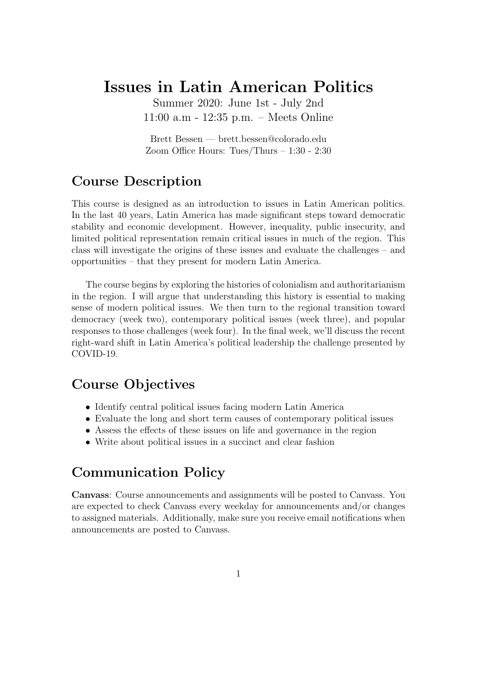# Issues in Latin American Politics

Summer 2020: June 1st - July 2nd 11:00 a.m - 12:35 p.m. – Meets Online

Brett Bessen — brett.bessen@colorado.edu Zoom Office Hours: Tues/Thurs – 1:30 - 2:30

# Course Description

This course is designed as an introduction to issues in Latin American politics. In the last 40 years, Latin America has made significant steps toward democratic stability and economic development. However, inequality, public insecurity, and limited political representation remain critical issues in much of the region. This class will investigate the origins of these issues and evaluate the challenges – and opportunities – that they present for modern Latin America.

The course begins by exploring the histories of colonialism and authoritarianism in the region. I will argue that understanding this history is essential to making sense of modern political issues. We then turn to the regional transition toward democracy (week two), contemporary political issues (week three), and popular responses to those challenges (week four). In the final week, we'll discuss the recent right-ward shift in Latin America's political leadership the challenge presented by COVID-19.

# Course Objectives

- Identify central political issues facing modern Latin America
- Evaluate the long and short term causes of contemporary political issues
- Assess the effects of these issues on life and governance in the region
- Write about political issues in a succinct and clear fashion

# Communication Policy

Canvass: Course announcements and assignments will be posted to Canvass. You are expected to check Canvass every weekday for announcements and/or changes to assigned materials. Additionally, make sure you receive email notifications when announcements are posted to Canvass.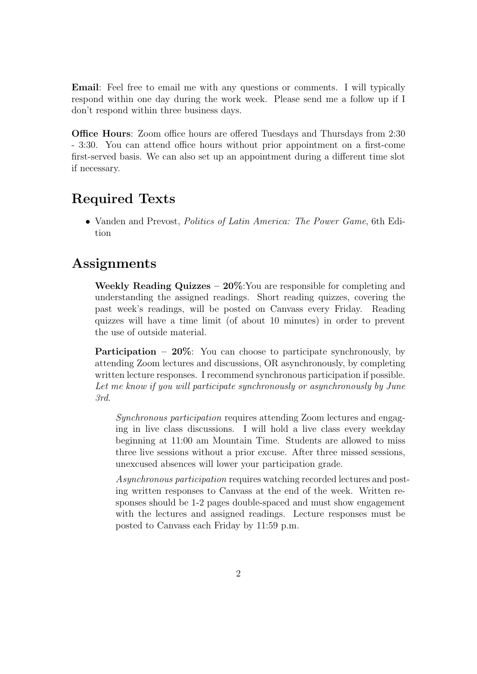Email: Feel free to email me with any questions or comments. I will typically respond within one day during the work week. Please send me a follow up if I don't respond within three business days.

Office Hours: Zoom office hours are offered Tuesdays and Thursdays from 2:30 - 3:30. You can attend office hours without prior appointment on a first-come first-served basis. We can also set up an appointment during a different time slot if necessary.

# Required Texts

• Vanden and Prevost, *Politics of Latin America: The Power Game*, 6th Edition

# **Assignments**

Weekly Reading Quizzes  $-20\%$ : You are responsible for completing and understanding the assigned readings. Short reading quizzes, covering the past week's readings, will be posted on Canvass every Friday. Reading quizzes will have a time limit (of about 10 minutes) in order to prevent the use of outside material.

**Participation – 20%**: You can choose to participate synchronously, by attending Zoom lectures and discussions, OR asynchronously, by completing written lecture responses. I recommend synchronous participation if possible. Let me know if you will participate synchronously or asynchronously by June 3rd.

Synchronous participation requires attending Zoom lectures and engaging in live class discussions. I will hold a live class every weekday beginning at 11:00 am Mountain Time. Students are allowed to miss three live sessions without a prior excuse. After three missed sessions, unexcused absences will lower your participation grade.

Asynchronous participation requires watching recorded lectures and posting written responses to Canvass at the end of the week. Written responses should be 1-2 pages double-spaced and must show engagement with the lectures and assigned readings. Lecture responses must be posted to Canvass each Friday by 11:59 p.m.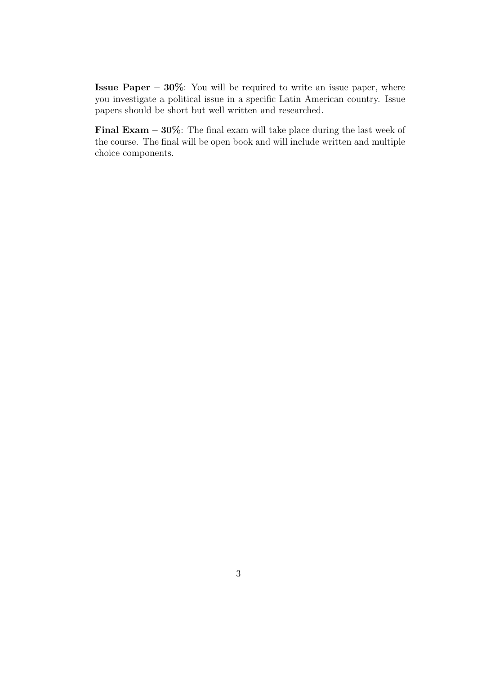**Issue Paper – 30%:** You will be required to write an issue paper, where you investigate a political issue in a specific Latin American country. Issue papers should be short but well written and researched.

Final Exam –  $30\%$ : The final exam will take place during the last week of the course. The final will be open book and will include written and multiple choice components.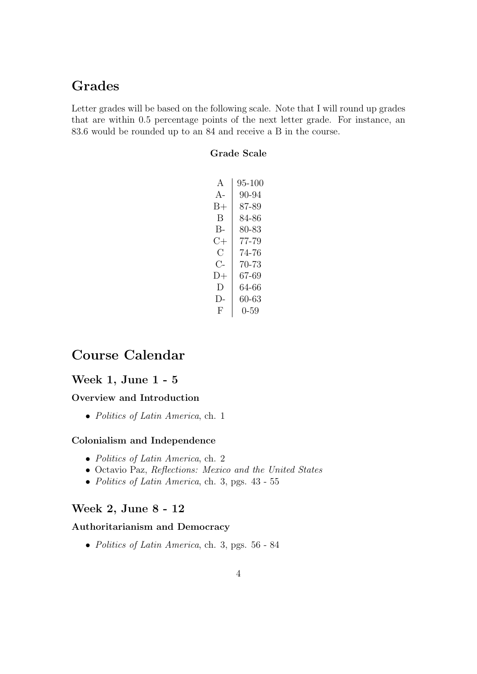# Grades

Letter grades will be based on the following scale. Note that I will round up grades that are within 0.5 percentage points of the next letter grade. For instance, an 83.6 would be rounded up to an 84 and receive a B in the course.

## Grade Scale

| $\mathbf{A}$ | 95-100   |
|--------------|----------|
| $A -$        | 90-94    |
| B+           | 87-89    |
| В            | 84-86    |
| B-           | 80-83    |
| $C+$         | 77-79    |
| $\bigcap$    | 74-76    |
| C-           | 70-73    |
| $D+$         | 67-69    |
| D            | 64-66    |
| D-           | 60-63    |
| F            | $0 - 59$ |

# Course Calendar

## Week 1, June 1 - 5

### Overview and Introduction

• Politics of Latin America, ch. 1

#### Colonialism and Independence

- Politics of Latin America, ch. 2
- Octavio Paz, Reflections: Mexico and the United States
- Politics of Latin America, ch. 3, pgs. 43 55

## Week 2, June 8 - 12

#### Authoritarianism and Democracy

• Politics of Latin America, ch. 3, pgs. 56 - 84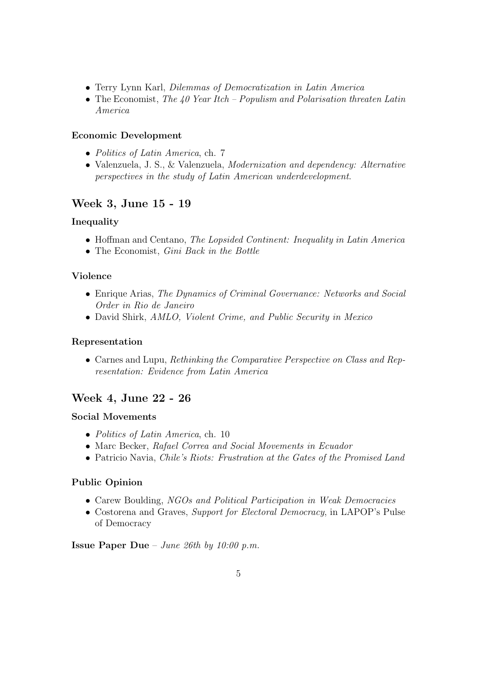- Terry Lynn Karl, Dilemmas of Democratization in Latin America
- The Economist, The 40 Year Itch Populism and Polarisation threaten Latin America

## Economic Development

- Politics of Latin America, ch. 7
- Valenzuela, J. S., & Valenzuela, *Modernization and dependency: Alternative* perspectives in the study of Latin American underdevelopment.

## Week 3, June 15 - 19

## Inequality

- Hoffman and Centano, The Lopsided Continent: Inequality in Latin America
- The Economist, *Gini Back in the Bottle*

## Violence

- Enrique Arias, The Dynamics of Criminal Governance: Networks and Social Order in Rio de Janeiro
- David Shirk, AMLO, Violent Crime, and Public Security in Mexico

### Representation

• Carnes and Lupu, Rethinking the Comparative Perspective on Class and Representation: Evidence from Latin America

# Week 4, June 22 - 26

## Social Movements

- Politics of Latin America, ch. 10
- Marc Becker, Rafael Correa and Social Movements in Ecuador
- Patricio Navia, *Chile's Riots: Frustration at the Gates of the Promised Land*

## Public Opinion

- Carew Boulding, NGOs and Political Participation in Weak Democracies
- Costorena and Graves, Support for Electoral Democracy, in LAPOP's Pulse of Democracy

**Issue Paper Due** – June 26th by 10:00 p.m.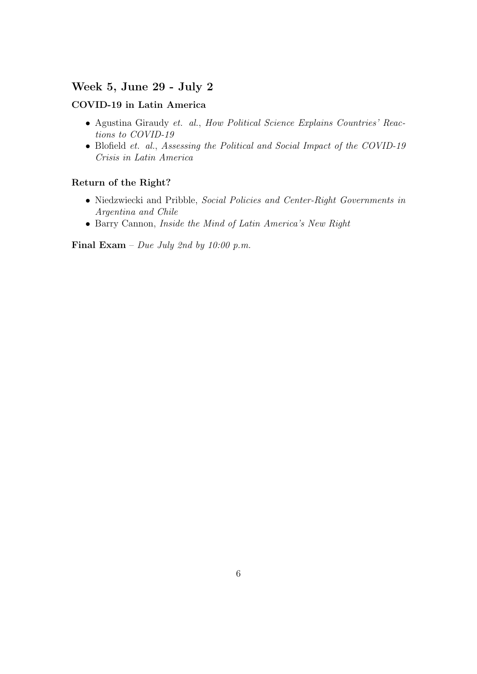# Week 5, June 29 - July 2

### COVID-19 in Latin America

- Agustina Giraudy et. al., How Political Science Explains Countries' Reactions to COVID-19
- Blofield et. al., Assessing the Political and Social Impact of the COVID-19 Crisis in Latin America

## Return of the Right?

- Niedzwiecki and Pribble, Social Policies and Center-Right Governments in Argentina and Chile
- Barry Cannon, Inside the Mind of Latin America's New Right

Final Exam – Due July 2nd by  $10:00 \text{ p.m.}$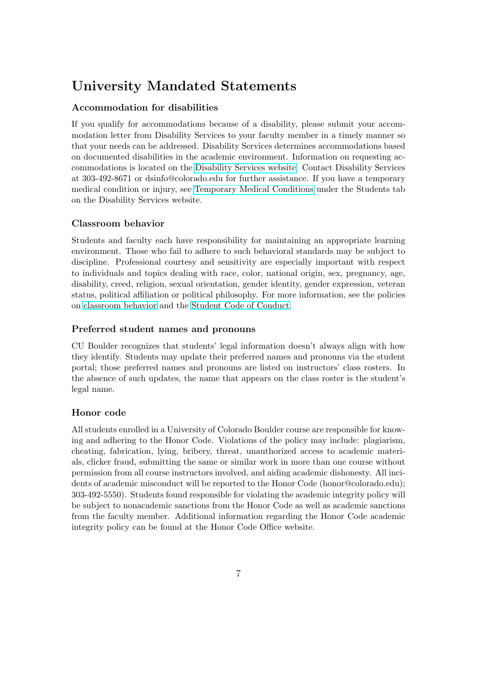# University Mandated Statements

### Accommodation for disabilities

If you qualify for accommodations because of a disability, please submit your accommodation letter from Disability Services to your faculty member in a timely manner so that your needs can be addressed. Disability Services determines accommodations based on documented disabilities in the academic environment. Information on requesting accommodations is located on the [Disability Services website.](https://www.colorado.edu/disabilityservices/students) Contact Disability Services at 303-492-8671 or dsinfo@colorado.edu for further assistance. If you have a temporary medical condition or injury, see [Temporary Medical Conditions](https://www.colorado.edu/disabilityservices/students/temporary-medical-conditions) under the Students tab on the Disability Services website.

#### Classroom behavior

Students and faculty each have responsibility for maintaining an appropriate learning environment. Those who fail to adhere to such behavioral standards may be subject to discipline. Professional courtesy and sensitivity are especially important with respect to individuals and topics dealing with race, color, national origin, sex, pregnancy, age, disability, creed, religion, sexual orientation, gender identity, gender expression, veteran status, political affiliation or political philosophy. For more information, see the policies on [classroom behavior](https://www.colorado.edu/policies/student-classroom-course-related-behavior) and the [Student Code of Conduct.](https://www.colorado.edu/sccr/)

### Preferred student names and pronouns

CU Boulder recognizes that students' legal information doesn't always align with how they identify. Students may update their preferred names and pronouns via the student portal; those preferred names and pronouns are listed on instructors' class rosters. In the absence of such updates, the name that appears on the class roster is the student's legal name.

### Honor code

All students enrolled in a University of Colorado Boulder course are responsible for knowing and adhering to the Honor Code. Violations of the policy may include: plagiarism, cheating, fabrication, lying, bribery, threat, unauthorized access to academic materials, clicker fraud, submitting the same or similar work in more than one course without permission from all course instructors involved, and aiding academic dishonesty. All incidents of academic misconduct will be reported to the Honor Code (honor@colorado.edu); 303-492-5550). Students found responsible for violating the academic integrity policy will be subject to nonacademic sanctions from the Honor Code as well as academic sanctions from the faculty member. Additional information regarding the Honor Code academic integrity policy can be found at the Honor Code Office website.